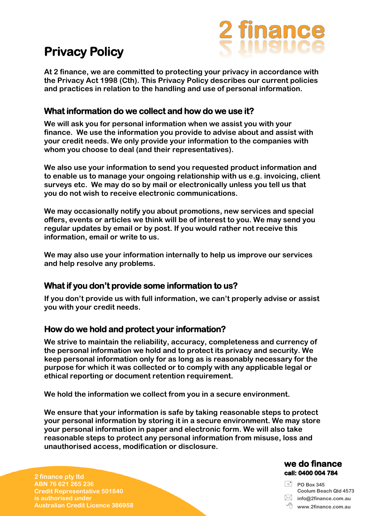# **Privacy Policy**



**At 2 finance, we are committed to protecting your privacy in accordance with the Privacy Act 1998 (Cth). This Privacy Policy describes our current policies and practices in relation to the handling and use of personal information.** 

## **What information do we collect and how do we use it?**

**We will ask you for personal information when we assist you with your finance. We use the information you provide to advise about and assist with your credit needs. We only provide your information to the companies with whom you choose to deal (and their representatives).** 

**We also use your information to send you requested product information and to enable us to manage your ongoing relationship with us e.g. invoicing, client surveys etc. We may do so by mail or electronically unless you tell us that you do not wish to receive electronic communications.** 

**We may occasionally notify you about promotions, new services and special offers, events or articles we think will be of interest to you. We may send you regular updates by email or by post. If you would rather not receive this information, email or write to us.** 

**We may also use your information internally to help us improve our services and help resolve any problems.** 

## **What if you don't provide some information to us?**

**If you don't provide us with full information, we can't properly advise or assist you with your credit needs.** 

#### **How do we hold and protect your information?**

**We strive to maintain the reliability, accuracy, completeness and currency of the personal information we hold and to protect its privacy and security. We keep personal information only for as long as is reasonably necessary for the purpose for which it was collected or to comply with any applicable legal or ethical reporting or document retention requirement.** 

**We hold the information we collect from you in a secure environment.** 

**We ensure that your information is safe by taking reasonable steps to protect your personal information by storing it in a secure environment. We may store your personal information in paper and electronic form. We will also take reasonable steps to protect any personal information from misuse, loss and unauthorised access, modification or disclosure.** 

#### we do finance call: 0400 004 784

**PO Box 345 Coolum Beach Qld 4573 info@2finance.com.au**

**2 finance pty ltd ABN 76 621 265 236 Credit Representative 501840 is authorised under Australian Credit Licence 386958**

**www.2finance.com.au**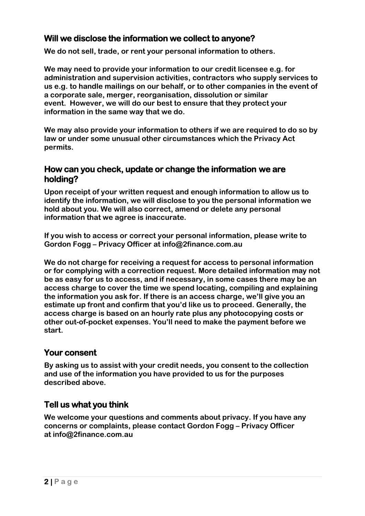## **Will we disclose the information we collect to anyone?**

**We do not sell, trade, or rent your personal information to others.** 

**We may need to provide your information to our credit licensee e.g. for administration and supervision activities, contractors who supply services to us e.g. to handle mailings on our behalf, or to other companies in the event of a corporate sale, merger, reorganisation, dissolution or similar event. However, we will do our best to ensure that they protect your information in the same way that we do.** 

**We may also provide your information to others if we are required to do so by law or under some unusual other circumstances which the Privacy Act permits.** 

### **How can you check, update or change the information we are holding?**

**Upon receipt of your written request and enough information to allow us to identify the information, we will disclose to you the personal information we hold about you. We will also correct, amend or delete any personal information that we agree is inaccurate.** 

**If you wish to access or correct your personal information, please write to Gordon Fogg – Privacy Officer at info@2finance.com.au** 

**We do not charge for receiving a request for access to personal information or for complying with a correction request. More detailed information may not be as easy for us to access, and if necessary, in some cases there may be an access charge to cover the time we spend locating, compiling and explaining the information you ask for. If there is an access charge, we'll give you an estimate up front and confirm that you'd like us to proceed. Generally, the access charge is based on an hourly rate plus any photocopying costs or other out-of-pocket expenses. You'll need to make the payment before we start.** 

#### **Your consent**

**By asking us to assist with your credit needs, you consent to the collection and use of the information you have provided to us for the purposes described above.** 

## **Tell us what you think**

**We welcome your questions and comments about privacy. If you have any concerns or complaints, please contact Gordon Fogg – Privacy Officer at info@2finance.com.au**